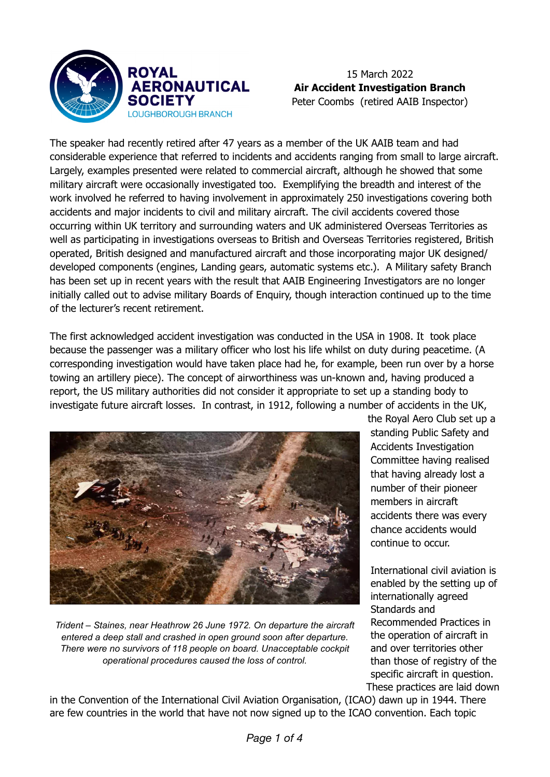

## 15 March 2022 **Air Accident Investigation Branch** Peter Coombs (retired AAIB Inspector)

The speaker had recently retired after 47 years as a member of the UK AAIB team and had considerable experience that referred to incidents and accidents ranging from small to large aircraft. Largely, examples presented were related to commercial aircraft, although he showed that some military aircraft were occasionally investigated too. Exemplifying the breadth and interest of the work involved he referred to having involvement in approximately 250 investigations covering both accidents and major incidents to civil and military aircraft. The civil accidents covered those occurring within UK territory and surrounding waters and UK administered Overseas Territories as well as participating in investigations overseas to British and Overseas Territories registered, British operated, British designed and manufactured aircraft and those incorporating major UK designed/ developed components (engines, Landing gears, automatic systems etc.). A Military safety Branch has been set up in recent years with the result that AAIB Engineering Investigators are no longer initially called out to advise military Boards of Enquiry, though interaction continued up to the time of the lecturer's recent retirement.

The first acknowledged accident investigation was conducted in the USA in 1908. It took place because the passenger was a military officer who lost his life whilst on duty during peacetime. (A corresponding investigation would have taken place had he, for example, been run over by a horse towing an artillery piece). The concept of airworthiness was un-known and, having produced a report, the US military authorities did not consider it appropriate to set up a standing body to investigate future aircraft losses. In contrast, in 1912, following a number of accidents in the UK,



*Trident – Staines, near Heathrow 26 June 1972. On departure the aircraft entered a deep stall and crashed in open ground soon after departure. There were no survivors of 118 people on board. Unacceptable cockpit operational procedures caused the loss of control.*

the Royal Aero Club set up a standing Public Safety and Accidents Investigation Committee having realised that having already lost a number of their pioneer members in aircraft accidents there was every chance accidents would continue to occur.

International civil aviation is enabled by the setting up of internationally agreed Standards and Recommended Practices in the operation of aircraft in and over territories other than those of registry of the specific aircraft in question. These practices are laid down

in the Convention of the International Civil Aviation Organisation, (ICAO) dawn up in 1944. There are few countries in the world that have not now signed up to the ICAO convention. Each topic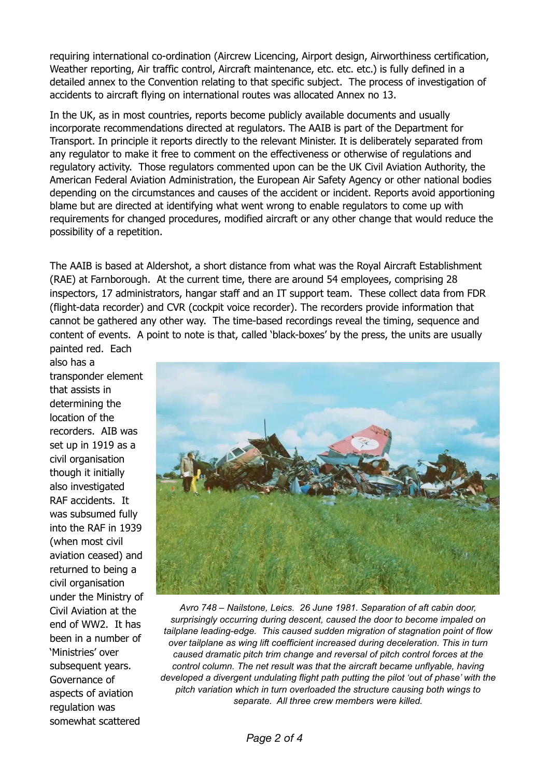requiring international co-ordination (Aircrew Licencing, Airport design, Airworthiness certification, Weather reporting, Air traffic control, Aircraft maintenance, etc. etc. etc.) is fully defined in a detailed annex to the Convention relating to that specific subject. The process of investigation of accidents to aircraft flying on international routes was allocated Annex no 13.

In the UK, as in most countries, reports become publicly available documents and usually incorporate recommendations directed at regulators. The AAIB is part of the Department for Transport. In principle it reports directly to the relevant Minister. It is deliberately separated from any regulator to make it free to comment on the effectiveness or otherwise of regulations and regulatory activity. Those regulators commented upon can be the UK Civil Aviation Authority, the American Federal Aviation Administration, the European Air Safety Agency or other national bodies depending on the circumstances and causes of the accident or incident. Reports avoid apportioning blame but are directed at identifying what went wrong to enable regulators to come up with requirements for changed procedures, modified aircraft or any other change that would reduce the possibility of a repetition.

The AAIB is based at Aldershot, a short distance from what was the Royal Aircraft Establishment (RAE) at Farnborough. At the current time, there are around 54 employees, comprising 28 inspectors, 17 administrators, hangar staff and an IT support team. These collect data from FDR (flight-data recorder) and CVR (cockpit voice recorder). The recorders provide information that cannot be gathered any other way. The time-based recordings reveal the timing, sequence and content of events. A point to note is that, called 'black-boxes' by the press, the units are usually

painted red. Each also has a transponder element that assists in determining the location of the recorders. AIB was set up in 1919 as a civil organisation though it initially also investigated RAF accidents. It was subsumed fully into the RAF in 1939 (when most civil aviation ceased) and returned to being a civil organisation under the Ministry of Civil Aviation at the end of WW2. It has been in a number of 'Ministries' over subsequent years. Governance of aspects of aviation regulation was somewhat scattered



*Avro 748 – Nailstone, Leics. 26 June 1981. Separation of aft cabin door, surprisingly occurring during descent, caused the door to become impaled on tailplane leading-edge. This caused sudden migration of stagnation point of flow over tailplane as wing lift coefficient increased during deceleration. This in turn caused dramatic pitch trim change and reversal of pitch control forces at the control column. The net result was that the aircraft became unflyable, having developed a divergent undulating flight path putting the pilot 'out of phase' with the pitch variation which in turn overloaded the structure causing both wings to separate. All three crew members were killed.*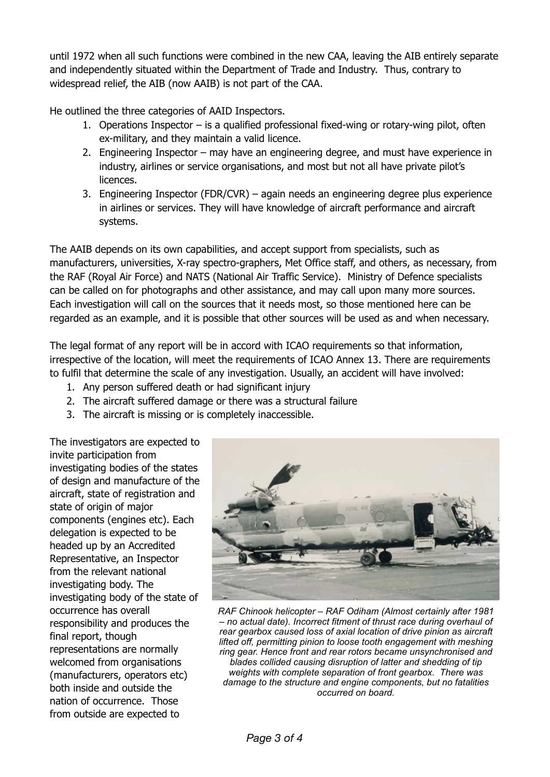until 1972 when all such functions were combined in the new CAA, leaving the AIB entirely separate and independently situated within the Department of Trade and Industry. Thus, contrary to widespread relief, the AIB (now AAIB) is not part of the CAA.

He outlined the three categories of AAID Inspectors.

- 1. Operations Inspector is a qualified professional fixed-wing or rotary-wing pilot, often ex-military, and they maintain a valid licence.
- 2. Engineering Inspector may have an engineering degree, and must have experience in industry, airlines or service organisations, and most but not all have private pilot's licences.
- 3. Engineering Inspector (FDR/CVR) again needs an engineering degree plus experience in airlines or services. They will have knowledge of aircraft performance and aircraft systems.

The AAIB depends on its own capabilities, and accept support from specialists, such as manufacturers, universities, X-ray spectro-graphers, Met Office staff, and others, as necessary, from the RAF (Royal Air Force) and NATS (National Air Traffic Service). Ministry of Defence specialists can be called on for photographs and other assistance, and may call upon many more sources. Each investigation will call on the sources that it needs most, so those mentioned here can be regarded as an example, and it is possible that other sources will be used as and when necessary.

The legal format of any report will be in accord with ICAO requirements so that information, irrespective of the location, will meet the requirements of ICAO Annex 13. There are requirements to fulfil that determine the scale of any investigation. Usually, an accident will have involved:

- 1. Any person suffered death or had significant injury
- 2. The aircraft suffered damage or there was a structural failure
- 3. The aircraft is missing or is completely inaccessible.

The investigators are expected to invite participation from investigating bodies of the states of design and manufacture of the aircraft, state of registration and state of origin of major components (engines etc). Each delegation is expected to be headed up by an Accredited Representative, an Inspector from the relevant national investigating body. The investigating body of the state of occurrence has overall responsibility and produces the final report, though representations are normally welcomed from organisations (manufacturers, operators etc) both inside and outside the nation of occurrence. Those from outside are expected to



*RAF Chinook helicopter – RAF Odiham (Almost certainly after 1981 – no actual date). Incorrect fitment of thrust race during overhaul of rear gearbox caused loss of axial location of drive pinion as aircraft lifted off, permitting pinion to loose tooth engagement with meshing ring gear. Hence front and rear rotors became unsynchronised and blades collided causing disruption of latter and shedding of tip weights with complete separation of front gearbox. There was damage to the structure and engine components, but no fatalities occurred on board.*